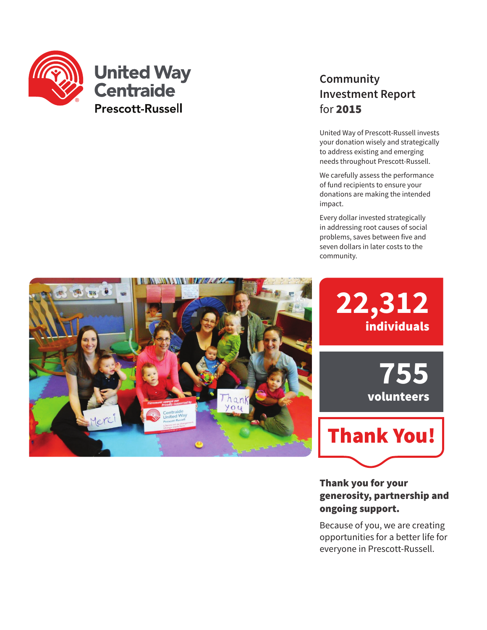

### **United Way Centraide Prescott-Russell**

### **Community Investment Report** for 2015

United Way of Prescott-Russell invests your donation wisely and strategically to address existing and emerging needs throughout Prescott-Russell.

We carefully assess the performance of fund recipients to ensure your donations are making the intended impact.

Every dollar invested strategically in addressing root causes of social problems, saves between five and seven dollars in later costs to the community.

> **22,312** individuals

> > **755** volunteers



Thank you for your generosity, partnership and ongoing support.

Because of you, we are creating opportunities for a better life for everyone in Prescott-Russell.

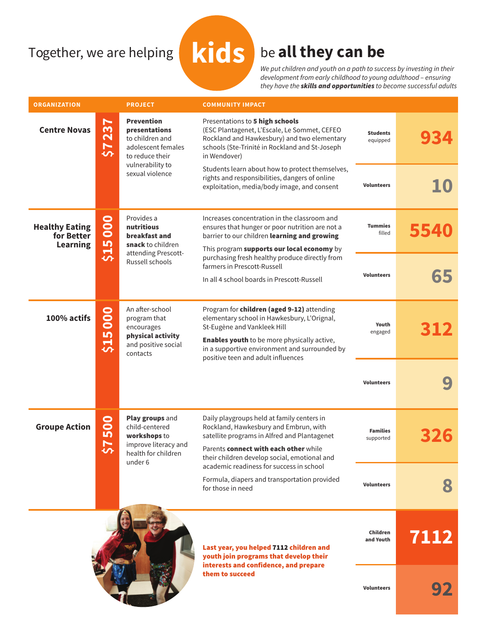# Together, we are helping **kids** be **all they can be**

We put children and youth on a path to success by investing in their development from early childhood to young adulthood – ensuring they have the *skills and opportunities* to become successful adults

| <b>ORGANIZATION</b>                                    |                                                | <b>PROJECT</b>                                                                                                                        | <b>COMMUNITY IMPACT</b>                                                                                                                                                                          |                              |      |
|--------------------------------------------------------|------------------------------------------------|---------------------------------------------------------------------------------------------------------------------------------------|--------------------------------------------------------------------------------------------------------------------------------------------------------------------------------------------------|------------------------------|------|
| <b>Centre Novas</b>                                    | $\blacktriangleright$<br>23<br>57              | <b>Prevention</b><br>presentations<br>to children and<br>adolescent females<br>to reduce their<br>vulnerability to<br>sexual violence | Presentations to 5 high schools<br>(ESC Plantagenet, L'Escale, Le Sommet, CEFEO<br>Rockland and Hawkesbury) and two elementary<br>schools (Ste-Trinité in Rockland and St-Joseph<br>in Wendover) | <b>Students</b><br>equipped  |      |
|                                                        |                                                |                                                                                                                                       | Students learn about how to protect themselves,<br>rights and responsibilities, dangers of online<br>exploitation, media/body image, and consent                                                 | <b>Volunteers</b>            |      |
| <b>Healthy Eating</b><br>for Better<br><b>Learning</b> | \$15000                                        | Provides a<br>nutritious<br>breakfast and<br>snack to children<br>attending Prescott-<br>Russell schools                              | Increases concentration in the classroom and<br>ensures that hunger or poor nutrition are not a<br>barrier to our children learning and growing<br>This program supports our local economy by    | <b>Tummies</b><br>filled     |      |
|                                                        |                                                |                                                                                                                                       | purchasing fresh healthy produce directly from<br>farmers in Prescott-Russell                                                                                                                    | <b>Volunteers</b>            | 65   |
|                                                        |                                                |                                                                                                                                       | In all 4 school boards in Prescott-Russell                                                                                                                                                       |                              |      |
| 100% actifs                                            | \$15000                                        | An after-school<br>program that<br>encourages<br>physical activity<br>and positive social<br>contacts                                 | Program for children (aged 9-12) attending<br>elementary school in Hawkesbury, L'Orignal,<br>St-Eugène and Vankleek Hill                                                                         | Youth<br>engaged             |      |
|                                                        |                                                |                                                                                                                                       | <b>Enables youth</b> to be more physically active,<br>in a supportive environment and surrounded by<br>positive teen and adult influences                                                        |                              |      |
|                                                        |                                                |                                                                                                                                       |                                                                                                                                                                                                  | <b>Volunteers</b>            |      |
| <b>Groupe Action</b>                                   | <u>8</u><br><u>In</u><br>$\blacktriangleright$ | Play groups and<br>child-centered<br>workshops to<br>improve literacy and<br>health for children<br>under 6                           | Daily playgroups held at family centers in<br>Rockland, Hawkesbury and Embrun, with<br>satellite programs in Alfred and Plantagenet                                                              | <b>Families</b><br>supported |      |
|                                                        | $\bullet$                                      |                                                                                                                                       | Parents connect with each other while<br>their children develop social, emotional and<br>academic readiness for success in school                                                                |                              |      |
|                                                        |                                                |                                                                                                                                       | Formula, diapers and transportation provided<br>for those in need                                                                                                                                | <b>Volunteers</b>            |      |
|                                                        |                                                |                                                                                                                                       | Last year, you helped 7112 children and<br>youth join programs that develop their<br>interests and confidence, and prepare<br>them to succeed                                                    | Children<br>and Youth        | 7112 |
|                                                        |                                                |                                                                                                                                       |                                                                                                                                                                                                  | <b>Volunteers</b>            | 92   |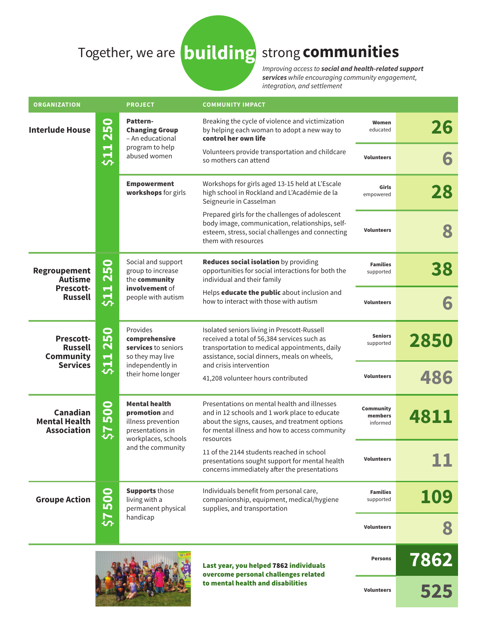## Together, we are **building** strong **communities**

Improving access to **social and health-related support services** while encouraging community engagement, integration, and settlement

| <b>ORGANIZATION</b>                                                       |                                                                     | <b>PROJECT</b>                                                                                                              | <b>COMMUNITY IMPACT</b>                                                                                                                                                                                        |                                  |      |
|---------------------------------------------------------------------------|---------------------------------------------------------------------|-----------------------------------------------------------------------------------------------------------------------------|----------------------------------------------------------------------------------------------------------------------------------------------------------------------------------------------------------------|----------------------------------|------|
| <b>Interlude House</b>                                                    | <b>250</b><br>511                                                   | Pattern-<br><b>Changing Group</b><br>- An educational<br>program to help<br>abused women                                    | Breaking the cycle of violence and victimization<br>by helping each woman to adopt a new way to<br>control her own life                                                                                        | Women<br>educated                | 26   |
|                                                                           |                                                                     |                                                                                                                             | Volunteers provide transportation and childcare<br>so mothers can attend                                                                                                                                       | <b>Volunteers</b>                | 6    |
|                                                                           |                                                                     | <b>Empowerment</b><br>workshops for girls                                                                                   | Workshops for girls aged 13-15 held at L'Escale<br>high school in Rockland and L'Académie de la<br>Seigneurie in Casselman                                                                                     | Girls<br>empowered               | 28   |
|                                                                           |                                                                     |                                                                                                                             | Prepared girls for the challenges of adolescent<br>body image, communication, relationships, self-<br>esteem, stress, social challenges and connecting<br>them with resources                                  | <b>Volunteers</b>                |      |
| <b>Regroupement</b><br><b>Autisme</b><br>Prescott-<br><b>Russell</b>      | $\bullet$<br>25<br>$\blacksquare$<br>$\frac{1}{2}$                  | Social and support<br>group to increase<br>the community<br>involvement of<br>people with autism                            | <b>Reduces social isolation</b> by providing<br>opportunities for social interactions for both the<br>individual and their family                                                                              | <b>Families</b><br>supported     | 38   |
|                                                                           |                                                                     |                                                                                                                             | Helps educate the public about inclusion and<br>how to interact with those with autism                                                                                                                         | <b>Volunteers</b>                | 6    |
| <b>Prescott-</b><br><b>Russell</b><br><b>Community</b><br><b>Services</b> | <u>င်္ဂ</u><br>$\mathbf{\Omega}$<br>$\blacksquare$<br>$\frac{1}{2}$ | Provides<br>comprehensive<br>services to seniors<br>so they may live<br>independently in<br>their home longer               | Isolated seniors living in Prescott-Russell<br>received a total of 56,384 services such as<br>transportation to medical appointments, daily<br>assistance, social dinners, meals on wheels,                    | <b>Seniors</b><br>supported      | 2850 |
|                                                                           |                                                                     |                                                                                                                             | and crisis intervention<br>41,208 volunteer hours contributed                                                                                                                                                  | <b>Volunteers</b>                | 486  |
| Canadian<br><b>Mental Health</b><br><b>Association</b>                    | <b>SOQ</b><br>7\$                                                   | <b>Mental health</b><br>promotion and<br>illness prevention<br>presentations in<br>workplaces, schools<br>and the community | Presentations on mental health and illnesses<br>and in 12 schools and 1 work place to educate<br>about the signs, causes, and treatment options<br>for mental illness and how to access community<br>resources | Community<br>members<br>informed | 4811 |
|                                                                           |                                                                     |                                                                                                                             | 11 of the 2144 students reached in school<br>presentations sought support for mental health<br>concerns immediately after the presentations                                                                    | <b>Volunteers</b>                |      |
| <b>Groupe Action</b>                                                      | 500<br>7\$                                                          | <b>Supports those</b><br>living with a<br>permanent physical<br>handicap                                                    | Individuals benefit from personal care,<br>companionship, equipment, medical/hygiene<br>supplies, and transportation                                                                                           | <b>Families</b><br>supported     | 109  |
|                                                                           |                                                                     |                                                                                                                             |                                                                                                                                                                                                                | <b>Volunteers</b>                |      |
|                                                                           |                                                                     |                                                                                                                             | Last year, you helped 7862 individuals<br>overcome personal challenges related                                                                                                                                 | <b>Persons</b>                   | 7862 |
|                                                                           |                                                                     |                                                                                                                             | to mental health and disabilities                                                                                                                                                                              | <b>Volunteers</b>                | 525  |